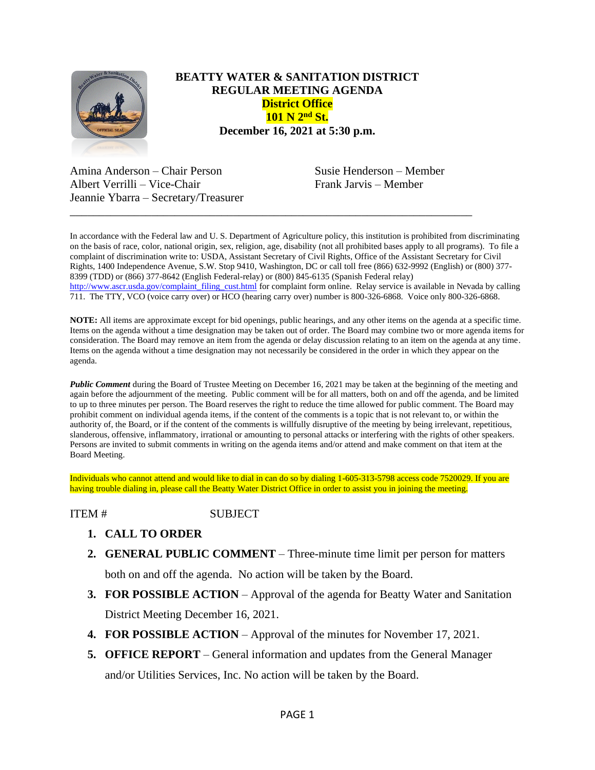

## **BEATTY WATER & SANITATION DISTRICT REGULAR MEETING AGENDA District Office 101 N 2nd St. December 16, 2021 at 5:30 p.m.**

Amina Anderson – Chair Person Susie Henderson – Member Albert Verrilli – Vice-Chair Frank Jarvis – Member Jeannie Ybarra – Secretary/Treasurer

In accordance with the Federal law and U. S. Department of Agriculture policy, this institution is prohibited from discriminating on the basis of race, color, national origin, sex, religion, age, disability (not all prohibited bases apply to all programs). To file a complaint of discrimination write to: USDA, Assistant Secretary of Civil Rights, Office of the Assistant Secretary for Civil Rights, 1400 Independence Avenue, S.W. Stop 9410, Washington, DC or call toll free (866) 632-9992 (English) or (800) 377- 8399 (TDD) or (866) 377-8642 (English Federal-relay) or (800) 845-6135 (Spanish Federal relay) [http://www.ascr.usda.gov/complaint\\_filing\\_cust.html](http://www.ascr.usda.gov/complaint_filing_cust.html) for complaint form online. Relay service is available in Nevada by calling 711. The TTY, VCO (voice carry over) or HCO (hearing carry over) number is 800-326-6868. Voice only 800-326-6868.

\_\_\_\_\_\_\_\_\_\_\_\_\_\_\_\_\_\_\_\_\_\_\_\_\_\_\_\_\_\_\_\_\_\_\_\_\_\_\_\_\_\_\_\_\_\_\_\_\_\_\_\_\_\_\_\_\_\_\_\_\_\_\_\_\_\_\_\_\_

**NOTE:** All items are approximate except for bid openings, public hearings, and any other items on the agenda at a specific time. Items on the agenda without a time designation may be taken out of order. The Board may combine two or more agenda items for consideration. The Board may remove an item from the agenda or delay discussion relating to an item on the agenda at any time. Items on the agenda without a time designation may not necessarily be considered in the order in which they appear on the agenda.

**Public Comment** during the Board of Trustee Meeting on December 16, 2021 may be taken at the beginning of the meeting and again before the adjournment of the meeting. Public comment will be for all matters, both on and off the agenda, and be limited to up to three minutes per person. The Board reserves the right to reduce the time allowed for public comment. The Board may prohibit comment on individual agenda items, if the content of the comments is a topic that is not relevant to, or within the authority of, the Board, or if the content of the comments is willfully disruptive of the meeting by being irrelevant, repetitious, slanderous, offensive, inflammatory, irrational or amounting to personal attacks or interfering with the rights of other speakers. Persons are invited to submit comments in writing on the agenda items and/or attend and make comment on that item at the Board Meeting.

Individuals who cannot attend and would like to dial in can do so by dialing 1-605-313-5798 access code 7520029. If you are having trouble dialing in, please call the Beatty Water District Office in order to assist you in joining the meeting.

## ITEM # SUBJECT

- **1. CALL TO ORDER**
- **2. GENERAL PUBLIC COMMENT** Three-minute time limit per person for matters both on and off the agenda. No action will be taken by the Board.

**3. FOR POSSIBLE ACTION** – Approval of the agenda for Beatty Water and Sanitation

District Meeting December 16, 2021.

- **4. FOR POSSIBLE ACTION** Approval of the minutes for November 17, 2021.
- **5. OFFICE REPORT**  General information and updates from the General Manager and/or Utilities Services, Inc. No action will be taken by the Board.